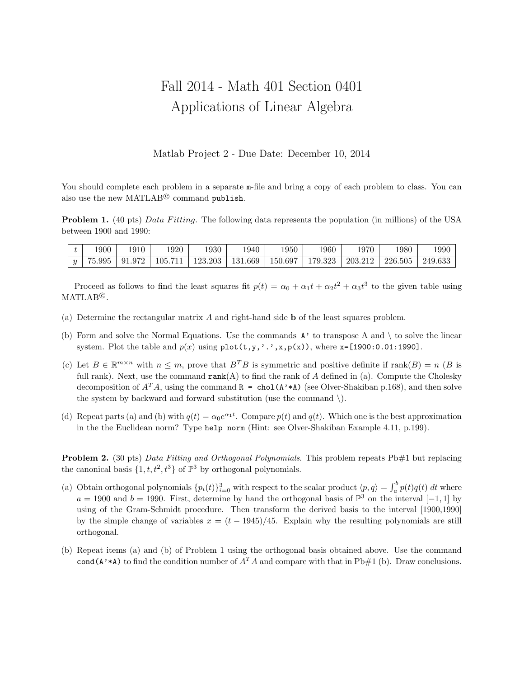## Fall 2014 - Math 401 Section 0401 Applications of Linear Algebra

Matlab Project 2 - Due Date: December 10, 2014

You should complete each problem in a separate  $m$ -file and bring a copy of each problem to class. You can also use the new MATLAB<sup>©</sup> command publish.

**Problem 1.** (40 pts) Data Fitting. The following data represents the population (in millions) of the USA between 1900 and 1990:

| 900 | 1910 - | 1920                                                | 1930 | 1940 | 950 | 1960 | 1970 | !980                                            | 1990 |
|-----|--------|-----------------------------------------------------|------|------|-----|------|------|-------------------------------------------------|------|
|     |        | $ y $ 75.995   91.972   105.711   123.203   131.669 |      |      |     |      |      | 150.697   179.323   203.212   226.505   249.633 |      |

Proceed as follows to find the least squares fit  $p(t) = \alpha_0 + \alpha_1 t + \alpha_2 t^2 + \alpha_3 t^3$  to the given table using  $\text{MATLAB}^{\textcircled{\tiny{\textcirc}}}.$ 

- (a) Determine the rectangular matrix A and right-hand side b of the least squares problem.
- (b) Form and solve the Normal Equations. Use the commands  $A'$  to transpose A and  $\setminus$  to solve the linear system. Plot the table and  $p(x)$  using  $plot(t,y,''.',x,p(x))$ , where  $x=[1900:0.01:1990]$ .
- (c) Let  $B \in \mathbb{R}^{m \times n}$  with  $n \leq m$ , prove that  $B^T B$  is symmetric and positive definite if rank $(B) = n$  (B is full rank). Next, use the command  $rank(A)$  to find the rank of A defined in (a). Compute the Cholesky decomposition of  $A^T A$ , using the command  $R = \text{chol}(A' * A)$  (see Olver-Shakiban p.168), and then solve the system by backward and forward substitution (use the command  $\setminus$ ).
- (d) Repeat parts (a) and (b) with  $q(t) = \alpha_0 e^{\alpha_1 t}$ . Compare  $p(t)$  and  $q(t)$ . Which one is the best approximation in the the Euclidean norm? Type help norm (Hint: see Olver-Shakiban Example 4.11, p.199).

**Problem 2.** (30 pts) Data Fitting and Orthogonal Polynomials. This problem repeats Pb#1 but replacing the canonical basis  $\{1, t, t^2, t^3\}$  of  $\mathbb{P}^3$  by orthogonal polynomials.

- (a) Obtain orthogonal polynomials  $\{p_i(t)\}_{i=0}^3$  with respect to the scalar product  $\langle p, q \rangle = \int_a^b p(t)q(t) dt$  where  $a = 1900$  and  $b = 1990$ . First, determine by hand the orthogonal basis of  $\mathbb{P}^3$  on the interval  $[-1, 1]$  by using of the Gram-Schmidt procedure. Then transform the derived basis to the interval [1900,1990] by the simple change of variables  $x = (t - 1945)/45$ . Explain why the resulting polynomials are still orthogonal.
- (b) Repeat items (a) and (b) of Problem 1 using the orthogonal basis obtained above. Use the command cond(A'\*A) to find the condition number of  $A<sup>T</sup>A$  and compare with that in Pb#1 (b). Draw conclusions.